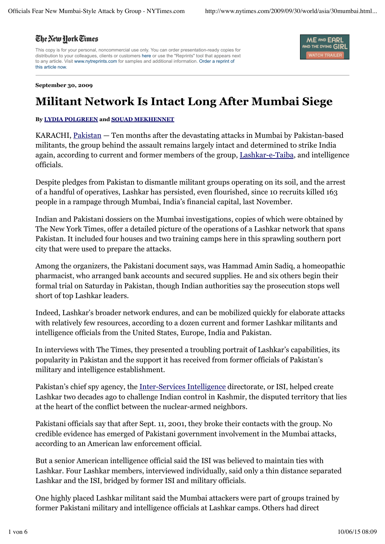## The New York Times

This copy is for your personal, noncommercial use only. You can order presentation-ready copies for distribution to your colleagues, clients or customers here or use the "Reprints" tool that appears next to any article. Visit www.nytreprints.com for samples and additional information. Order a reprint of this article now.



**September 30, 2009**

# **Militant Network Is Intact Long After Mumbai Siege**

#### **By LYDIA POLGREEN and SOUAD MEKHENNET**

KARACHI, Pakistan — Ten months after the devastating attacks in Mumbai by Pakistan-based militants, the group behind the assault remains largely intact and determined to strike India again, according to current and former members of the group, Lashkar-e-Taiba, and intelligence officials.

Despite pledges from Pakistan to dismantle militant groups operating on its soil, and the arrest of a handful of operatives, Lashkar has persisted, even flourished, since 10 recruits killed 163 people in a rampage through Mumbai, India's financial capital, last November.

Indian and Pakistani dossiers on the Mumbai investigations, copies of which were obtained by The New York Times, offer a detailed picture of the operations of a Lashkar network that spans Pakistan. It included four houses and two training camps here in this sprawling southern port city that were used to prepare the attacks.

Among the organizers, the Pakistani document says, was Hammad Amin Sadiq, a homeopathic pharmacist, who arranged bank accounts and secured supplies. He and six others begin their formal trial on Saturday in Pakistan, though Indian authorities say the prosecution stops well short of top Lashkar leaders.

Indeed, Lashkar's broader network endures, and can be mobilized quickly for elaborate attacks with relatively few resources, according to a dozen current and former Lashkar militants and intelligence officials from the United States, Europe, India and Pakistan.

In interviews with The Times, they presented a troubling portrait of Lashkar's capabilities, its popularity in Pakistan and the support it has received from former officials of Pakistan's military and intelligence establishment.

Pakistan's chief spy agency, the Inter-Services Intelligence directorate, or ISI, helped create Lashkar two decades ago to challenge Indian control in Kashmir, the disputed territory that lies at the heart of the conflict between the nuclear-armed neighbors.

Pakistani officials say that after Sept. 11, 2001, they broke their contacts with the group. No credible evidence has emerged of Pakistani government involvement in the Mumbai attacks, according to an American law enforcement official.

But a senior American intelligence official said the ISI was believed to maintain ties with Lashkar. Four Lashkar members, interviewed individually, said only a thin distance separated Lashkar and the ISI, bridged by former ISI and military officials.

One highly placed Lashkar militant said the Mumbai attackers were part of groups trained by former Pakistani military and intelligence officials at Lashkar camps. Others had direct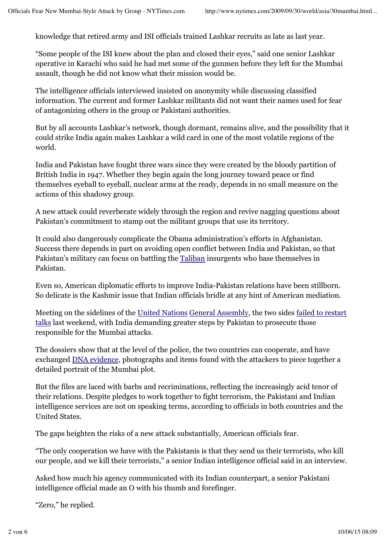knowledge that retired army and ISI officials trained Lashkar recruits as late as last year.

"Some people of the ISI knew about the plan and closed their eyes," said one senior Lashkar operative in Karachi who said he had met some of the gunmen before they left for the Mumbai assault, though he did not know what their mission would be.

The intelligence officials interviewed insisted on anonymity while discussing classified information. The current and former Lashkar militants did not want their names used for fear of antagonizing others in the group or Pakistani authorities.

But by all accounts Lashkar's network, though dormant, remains alive, and the possibility that it could strike India again makes Lashkar a wild card in one of the most volatile regions of the world.

India and Pakistan have fought three wars since they were created by the bloody partition of British India in 1947. Whether they begin again the long journey toward peace or find themselves eyeball to eyeball, nuclear arms at the ready, depends in no small measure on the actions of this shadowy group.

A new attack could reverberate widely through the region and revive nagging questions about Pakistan's commitment to stamp out the militant groups that use its territory.

It could also dangerously complicate the Obama administration's efforts in Afghanistan. Success there depends in part on avoiding open conflict between India and Pakistan, so that Pakistan's military can focus on battling the Taliban insurgents who base themselves in Pakistan.

Even so, American diplomatic efforts to improve India-Pakistan relations have been stillborn. So delicate is the Kashmir issue that Indian officials bridle at any hint of American mediation.

Meeting on the sidelines of the United Nations General Assembly, the two sides failed to restart talks last weekend, with India demanding greater steps by Pakistan to prosecute those responsible for the Mumbai attacks.

The dossiers show that at the level of the police, the two countries can cooperate, and have exchanged DNA evidence, photographs and items found with the attackers to piece together a detailed portrait of the Mumbai plot.

But the files are laced with barbs and recriminations, reflecting the increasingly acid tenor of their relations. Despite pledges to work together to fight terrorism, the Pakistani and Indian intelligence services are not on speaking terms, according to officials in both countries and the United States.

The gaps heighten the risks of a new attack substantially, American officials fear.

"The only cooperation we have with the Pakistanis is that they send us their terrorists, who kill our people, and we kill their terrorists," a senior Indian intelligence official said in an interview.

Asked how much his agency communicated with its Indian counterpart, a senior Pakistani intelligence official made an O with his thumb and forefinger.

"Zero," he replied.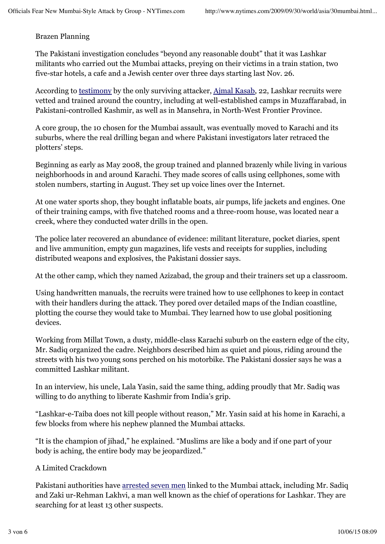#### Brazen Planning

The Pakistani investigation concludes "beyond any reasonable doubt" that it was Lashkar militants who carried out the Mumbai attacks, preying on their victims in a train station, two five-star hotels, a cafe and a Jewish center over three days starting last Nov. 26.

According to testimony by the only surviving attacker, Ajmal Kasab, 22, Lashkar recruits were vetted and trained around the country, including at well-established camps in Muzaffarabad, in Pakistani-controlled Kashmir, as well as in Mansehra, in North-West Frontier Province.

A core group, the 10 chosen for the Mumbai assault, was eventually moved to Karachi and its suburbs, where the real drilling began and where Pakistani investigators later retraced the plotters' steps.

Beginning as early as May 2008, the group trained and planned brazenly while living in various neighborhoods in and around Karachi. They made scores of calls using cellphones, some with stolen numbers, starting in August. They set up voice lines over the Internet.

At one water sports shop, they bought inflatable boats, air pumps, life jackets and engines. One of their training camps, with five thatched rooms and a three-room house, was located near a creek, where they conducted water drills in the open.

The police later recovered an abundance of evidence: militant literature, pocket diaries, spent and live ammunition, empty gun magazines, life vests and receipts for supplies, including distributed weapons and explosives, the Pakistani dossier says.

At the other camp, which they named Azizabad, the group and their trainers set up a classroom.

Using handwritten manuals, the recruits were trained how to use cellphones to keep in contact with their handlers during the attack. They pored over detailed maps of the Indian coastline, plotting the course they would take to Mumbai. They learned how to use global positioning devices.

Working from Millat Town, a dusty, middle-class Karachi suburb on the eastern edge of the city, Mr. Sadiq organized the cadre. Neighbors described him as quiet and pious, riding around the streets with his two young sons perched on his motorbike. The Pakistani dossier says he was a committed Lashkar militant.

In an interview, his uncle, Lala Yasin, said the same thing, adding proudly that Mr. Sadiq was willing to do anything to liberate Kashmir from India's grip.

"Lashkar-e-Taiba does not kill people without reason," Mr. Yasin said at his home in Karachi, a few blocks from where his nephew planned the Mumbai attacks.

"It is the champion of jihad," he explained. "Muslims are like a body and if one part of your body is aching, the entire body may be jeopardized."

### A Limited Crackdown

Pakistani authorities have arrested seven men linked to the Mumbai attack, including Mr. Sadiq and Zaki ur-Rehman Lakhvi, a man well known as the chief of operations for Lashkar. They are searching for at least 13 other suspects.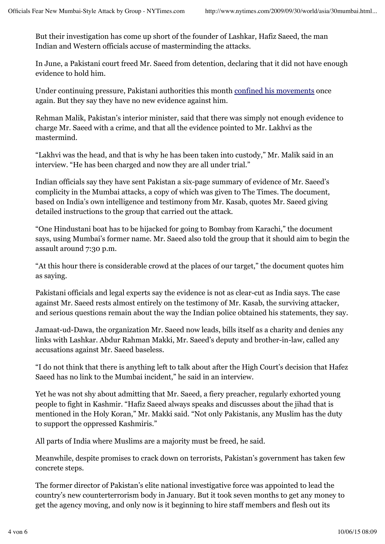But their investigation has come up short of the founder of Lashkar, Hafiz Saeed, the man Indian and Western officials accuse of masterminding the attacks.

In June, a Pakistani court freed Mr. Saeed from detention, declaring that it did not have enough evidence to hold him.

Under continuing pressure, Pakistani authorities this month confined his movements once again. But they say they have no new evidence against him.

Rehman Malik, Pakistan's interior minister, said that there was simply not enough evidence to charge Mr. Saeed with a crime, and that all the evidence pointed to Mr. Lakhvi as the mastermind.

"Lakhvi was the head, and that is why he has been taken into custody," Mr. Malik said in an interview. "He has been charged and now they are all under trial."

Indian officials say they have sent Pakistan a six-page summary of evidence of Mr. Saeed's complicity in the Mumbai attacks, a copy of which was given to The Times. The document, based on India's own intelligence and testimony from Mr. Kasab, quotes Mr. Saeed giving detailed instructions to the group that carried out the attack.

"One Hindustani boat has to be hijacked for going to Bombay from Karachi," the document says, using Mumbai's former name. Mr. Saeed also told the group that it should aim to begin the assault around 7:30 p.m.

"At this hour there is considerable crowd at the places of our target," the document quotes him as saying.

Pakistani officials and legal experts say the evidence is not as clear-cut as India says. The case against Mr. Saeed rests almost entirely on the testimony of Mr. Kasab, the surviving attacker, and serious questions remain about the way the Indian police obtained his statements, they say.

Jamaat-ud-Dawa, the organization Mr. Saeed now leads, bills itself as a charity and denies any links with Lashkar. Abdur Rahman Makki, Mr. Saeed's deputy and brother-in-law, called any accusations against Mr. Saeed baseless.

"I do not think that there is anything left to talk about after the High Court's decision that Hafez Saeed has no link to the Mumbai incident," he said in an interview.

Yet he was not shy about admitting that Mr. Saeed, a fiery preacher, regularly exhorted young people to fight in Kashmir. "Hafiz Saeed always speaks and discusses about the jihad that is mentioned in the Holy Koran," Mr. Makki said. "Not only Pakistanis, any Muslim has the duty to support the oppressed Kashmiris."

All parts of India where Muslims are a majority must be freed, he said.

Meanwhile, despite promises to crack down on terrorists, Pakistan's government has taken few concrete steps.

The former director of Pakistan's elite national investigative force was appointed to lead the country's new counterterrorism body in January. But it took seven months to get any money to get the agency moving, and only now is it beginning to hire staff members and flesh out its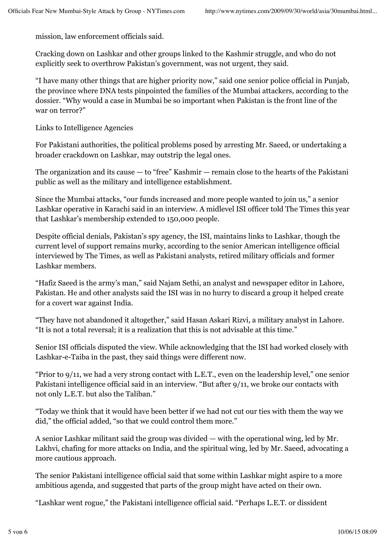mission, law enforcement officials said.

Cracking down on Lashkar and other groups linked to the Kashmir struggle, and who do not explicitly seek to overthrow Pakistan's government, was not urgent, they said.

"I have many other things that are higher priority now," said one senior police official in Punjab, the province where DNA tests pinpointed the families of the Mumbai attackers, according to the dossier. "Why would a case in Mumbai be so important when Pakistan is the front line of the war on terror?"

Links to Intelligence Agencies

For Pakistani authorities, the political problems posed by arresting Mr. Saeed, or undertaking a broader crackdown on Lashkar, may outstrip the legal ones.

The organization and its cause — to "free" Kashmir — remain close to the hearts of the Pakistani public as well as the military and intelligence establishment.

Since the Mumbai attacks, "our funds increased and more people wanted to join us," a senior Lashkar operative in Karachi said in an interview. A midlevel ISI officer told The Times this year that Lashkar's membership extended to 150,000 people.

Despite official denials, Pakistan's spy agency, the ISI, maintains links to Lashkar, though the current level of support remains murky, according to the senior American intelligence official interviewed by The Times, as well as Pakistani analysts, retired military officials and former Lashkar members.

"Hafiz Saeed is the army's man," said Najam Sethi, an analyst and newspaper editor in Lahore, Pakistan. He and other analysts said the ISI was in no hurry to discard a group it helped create for a covert war against India.

"They have not abandoned it altogether," said Hasan Askari Rizvi, a military analyst in Lahore. "It is not a total reversal; it is a realization that this is not advisable at this time."

Senior ISI officials disputed the view. While acknowledging that the ISI had worked closely with Lashkar-e-Taiba in the past, they said things were different now.

"Prior to 9/11, we had a very strong contact with L.E.T., even on the leadership level," one senior Pakistani intelligence official said in an interview. "But after 9/11, we broke our contacts with not only L.E.T. but also the Taliban."

"Today we think that it would have been better if we had not cut our ties with them the way we did," the official added, "so that we could control them more."

A senior Lashkar militant said the group was divided — with the operational wing, led by Mr. Lakhvi, chafing for more attacks on India, and the spiritual wing, led by Mr. Saeed, advocating a more cautious approach.

The senior Pakistani intelligence official said that some within Lashkar might aspire to a more ambitious agenda, and suggested that parts of the group might have acted on their own.

"Lashkar went rogue," the Pakistani intelligence official said. "Perhaps L.E.T. or dissident